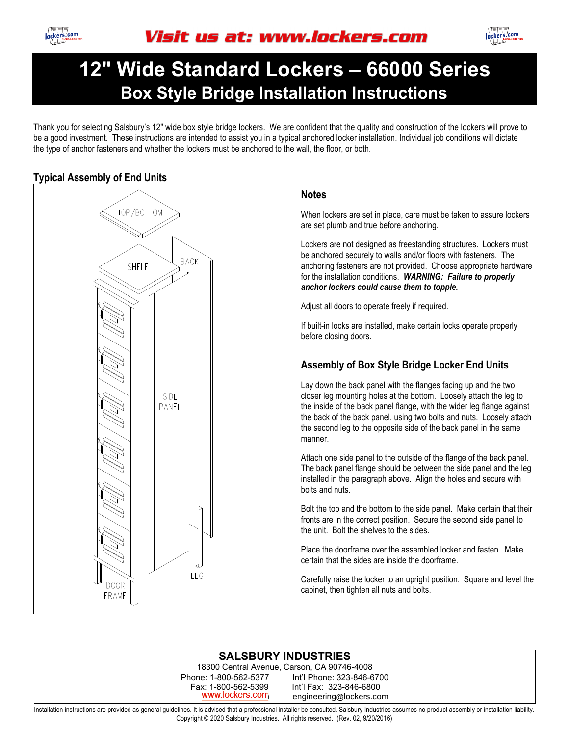

# **12" Wide Standard Lockers – 66000 Series Box Style Bridge Installation Instructions**

Thank you for selecting Salsbury's 12" wide box style bridge lockers. We are confident that the quality and construction of the lockers will prove to be a good investment. These instructions are intended to assist you in a typical anchored locker installation. Individual job conditions will dictate the type of anchor fasteners and whether the lockers must be anchored to the wall, the floor, or both.



#### **Notes**

When lockers are set in place, care must be taken to assure lockers are set plumb and true before anchoring.

Lockers are not designed as freestanding structures. Lockers must be anchored securely to walls and/or floors with fasteners. The anchoring fasteners are not provided. Choose appropriate hardware for the installation conditions. *WARNING: Failure to properly anchor lockers could cause them to topple.*

Adjust all doors to operate freely if required.

If built-in locks are installed, make certain locks operate properly before closing doors.

## **Assembly of Box Style Bridge Locker End Units**

Lay down the back panel with the flanges facing up and the two closer leg mounting holes at the bottom. Loosely attach the leg to the inside of the back panel flange, with the wider leg flange against the back of the back panel, using two bolts and nuts. Loosely attach the second leg to the opposite side of the back panel in the same manner.

Attach one side panel to the outside of the flange of the back panel. The back panel flange should be between the side panel and the leg installed in the paragraph above. Align the holes and secure with bolts and nuts.

Bolt the top and the bottom to the side panel. Make certain that their fronts are in the correct position. Secure the second side panel to the unit. Bolt the shelves to the sides.

Place the doorframe over the assembled locker and fasten. Make certain that the sides are inside the doorframe.

Carefully raise the locker to an upright position. Square and level the cabinet, then tighten all nuts and bolts.

#### **SALSBURY INDUSTRIES**

18300 Central Avenue, Carson, CA 90746-4008 Phone: 1-800-562-5377 Int'l Phone: 323-846-6700 Fax: 1-800-562-5399 Int'l Fax: 323-846-6800 www.lockers.com engineering@lockers.com

Installation instructions are provided as general guidelines. It is advised that a professional installer be consulted. Salsbury Industries assumes no product assembly or installation liability. Copyright © 2020 Salsbury Industries. All rights reserved. (Rev. 02, 9/20/2016)